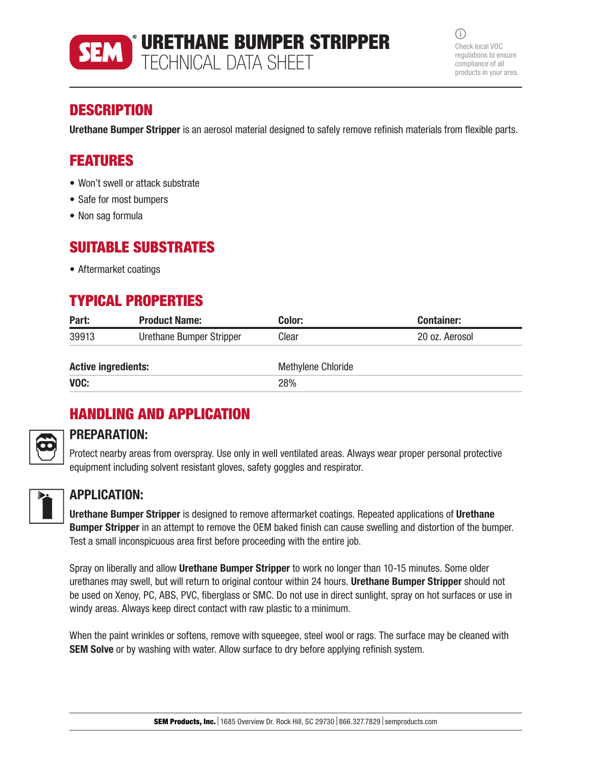

 $(i)$ Check local VOC regulations to ensure compliance of all products in your area.

## **DESCRIPTION**

Urethane Bumper Stripper is an aerosol material designed to safely remove refinish materials from flexible parts.

## FEATURES

- Won't swell or attack substrate
- Safe for most bumpers
- Non sag formula

## SUITABLE SUBSTRATES

• Aftermarket coatings

## TYPICAL PROPERTIES

| Part:                      | <b>Product Name:</b>     | Color:             | <b>Container:</b> |  |
|----------------------------|--------------------------|--------------------|-------------------|--|
| 39913                      | Urethane Bumper Stripper | Clear              | 20 oz. Aerosol    |  |
|                            |                          |                    |                   |  |
| <b>Active ingredients:</b> |                          | Methylene Chloride |                   |  |
| VOC:                       |                          | 28%                |                   |  |

## HANDLING AND APPLICATION

## PREPARATION:

Protect nearby areas from overspray. Use only in well ventilated areas. Always wear proper personal protective equipment including solvent resistant gloves, safety goggles and respirator.



## APPLICATION:

Urethane Bumper Stripper is designed to remove aftermarket coatings. Repeated applications of Urethane **Bumper Stripper** in an attempt to remove the OEM baked finish can cause swelling and distortion of the bumper. Test a small inconspicuous area first before proceeding with the entire job.

Spray on liberally and allow Urethane Bumper Stripper to work no longer than 10-15 minutes. Some older urethanes may swell, but will return to original contour within 24 hours. Urethane Bumper Stripper should not be used on Xenoy, PC, ABS, PVC, fiberglass or SMC. Do not use in direct sunlight, spray on hot surfaces or use in windy areas. Always keep direct contact with raw plastic to a minimum.

When the paint wrinkles or softens, remove with squeegee, steel wool or rags. The surface may be cleaned with SEM Solve or by washing with water. Allow surface to dry before applying refinish system.